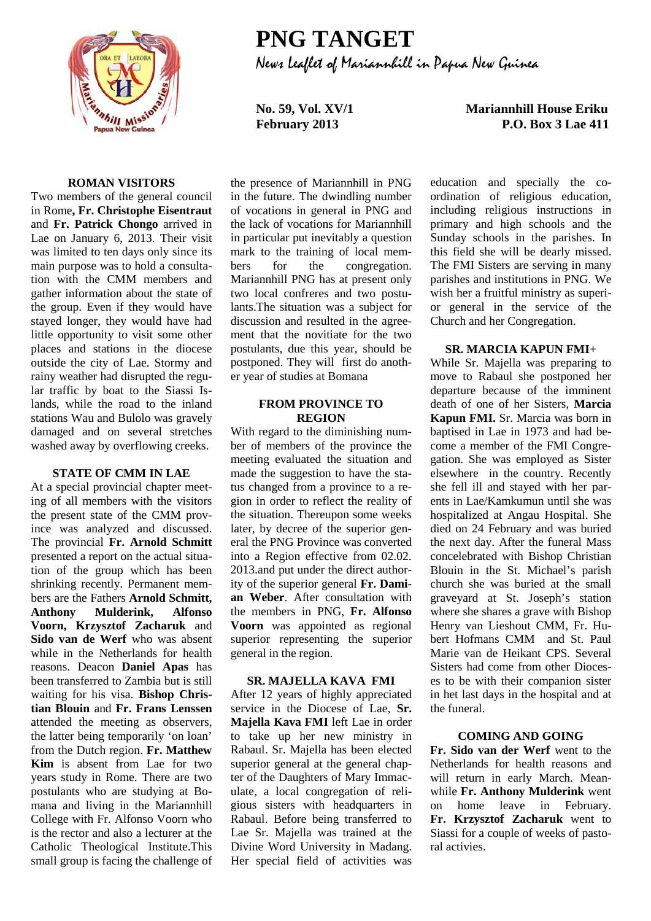

# **PNG TANGET** News Leaflet of Mariannhill in Papua New Guinea

**No. 59, Vol. XV/1 Mariannhill House Eriku February 2013 P.O. Box 3 Lae 411**

## **ROMAN VISITORS**

Two members of the general council in Rome**, Fr. Christophe Eisentraut** and **Fr. Patrick Chongo** arrived in Lae on January 6, 2013. Their visit was limited to ten days only since its main purpose was to hold a consultation with the CMM members and gather information about the state of the group. Even if they would have stayed longer, they would have had little opportunity to visit some other places and stations in the diocese outside the city of Lae. Stormy and rainy weather had disrupted the regular traffic by boat to the Siassi Islands, while the road to the inland stations Wau and Bulolo was gravely damaged and on several stretches washed away by overflowing creeks.

## **STATE OF CMM IN LAE**

At a special provincial chapter meeting of all members with the visitors the present state of the CMM province was analyzed and discussed. The provincial **Fr. Arnold Schmitt** presented a report on the actual situation of the group which has been shrinking recently. Permanent members are the Fathers **Arnold Schmitt, Anthony Mulderink, Alfonso Voorn, Krzysztof Zacharuk** and **Sido van de Werf** who was absent while in the Netherlands for health reasons. Deacon **Daniel Apas** has been transferred to Zambia but is still waiting for his visa. **Bishop Christian Blouin** and **Fr. Frans Lenssen**  attended the meeting as observers, the latter being temporarily 'on loan' from the Dutch region. **Fr. Matthew Kim** is absent from Lae for two years study in Rome. There are two postulants who are studying at Bomana and living in the Mariannhill College with Fr. Alfonso Voorn who is the rector and also a lecturer at the Catholic Theological Institute.This small group is facing the challenge of the presence of Mariannhill in PNG in the future. The dwindling number of vocations in general in PNG and the lack of vocations for Mariannhill in particular put inevitably a question mark to the training of local members for the congregation. Mariannhill PNG has at present only two local confreres and two postulants.The situation was a subject for discussion and resulted in the agreement that the novitiate for the two postulants, due this year, should be postponed. They will first do another year of studies at Bomana

## **FROM PROVINCE TO REGION**

With regard to the diminishing number of members of the province the meeting evaluated the situation and made the suggestion to have the status changed from a province to a region in order to reflect the reality of the situation. Thereupon some weeks later, by decree of the superior general the PNG Province was converted into a Region effective from 02.02. 2013.and put under the direct authority of the superior general **Fr. Damian Weber**. After consultation with the members in PNG, **Fr. Alfonso Voorn** was appointed as regional superior representing the superior general in the region.

### **SR. MAJELLA KAVA FMI**

After 12 years of highly appreciated service in the Diocese of Lae, **Sr. Majella Kava FMI** left Lae in order to take up her new ministry in Rabaul. Sr. Majella has been elected superior general at the general chapter of the Daughters of Mary Immaculate, a local congregation of religious sisters with headquarters in Rabaul. Before being transferred to Lae Sr. Majella was trained at the Divine Word University in Madang. Her special field of activities was

education and specially the coordination of religious education, including religious instructions in primary and high schools and the Sunday schools in the parishes. In this field she will be dearly missed. The FMI Sisters are serving in many parishes and institutions in PNG. We wish her a fruitful ministry as superior general in the service of the Church and her Congregation.

#### **SR. MARCIA KAPUN FMI+**

While Sr. Majella was preparing to move to Rabaul she postponed her departure because of the imminent death of one of her Sisters, **Marcia Kapun FMI.** Sr. Marcia was born in baptised in Lae in 1973 and had become a member of the FMI Congregation. She was employed as Sister elsewhere in the country. Recently she fell ill and stayed with her parents in Lae/Kamkumun until she was hospitalized at Angau Hospital. She died on 24 February and was buried the next day. After the funeral Mass concelebrated with Bishop Christian Blouin in the St. Michael's parish church she was buried at the small graveyard at St. Joseph's station where she shares a grave with Bishop Henry van Lieshout CMM, Fr. Hubert Hofmans CMM and St. Paul Marie van de Heikant CPS. Several Sisters had come from other Dioceses to be with their companion sister in het last days in the hospital and at the funeral.

### **COMING AND GOING**

**Fr. Sido van der Werf** went to the Netherlands for health reasons and will return in early March. Meanwhile **Fr. Anthony Mulderink** went on home leave in February. **Fr. Krzysztof Zacharuk** went to Siassi for a couple of weeks of pastoral activies.